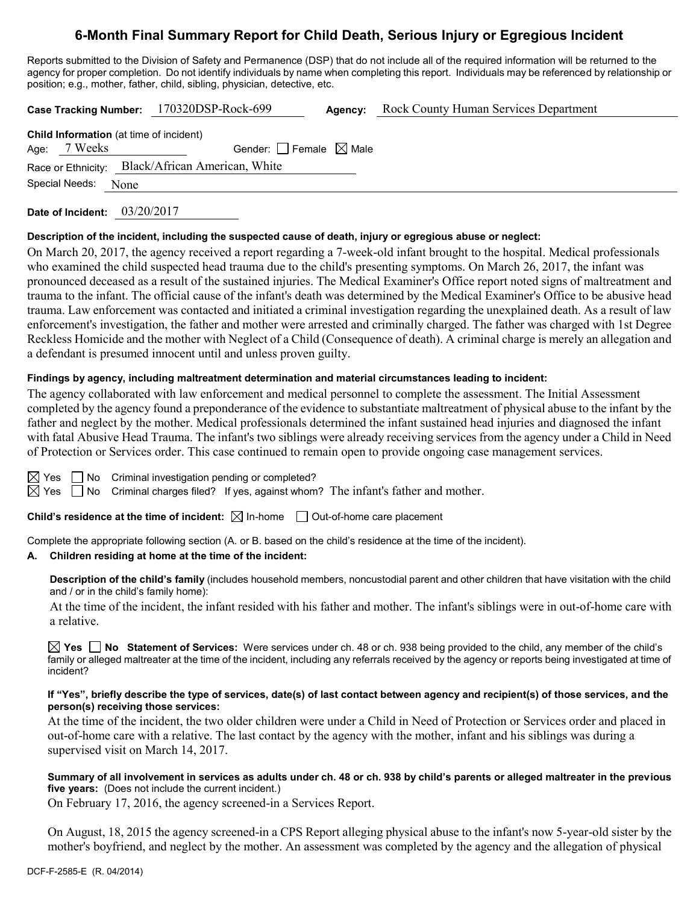# **6-Month Final Summary Report for Child Death, Serious Injury or Egregious Incident**

Reports submitted to the Division of Safety and Permanence (DSP) that do not include all of the required information will be returned to the agency for proper completion. Do not identify individuals by name when completing this report. Individuals may be referenced by relationship or position; e.g., mother, father, child, sibling, physician, detective, etc.

| Case Tracking Number: 170320DSP-Rock-699       |      |                                                  | Agency: | <b>Rock County Human Services Department</b> |  |  |
|------------------------------------------------|------|--------------------------------------------------|---------|----------------------------------------------|--|--|
| <b>Child Information</b> (at time of incident) |      |                                                  |         |                                              |  |  |
| Age: 7 Weeks                                   |      | Gender: $ $ Female $\boxtimes$ Male              |         |                                              |  |  |
|                                                |      | Race or Ethnicity: Black/African American, White |         |                                              |  |  |
| Special Needs:                                 | None |                                                  |         |                                              |  |  |
|                                                |      |                                                  |         |                                              |  |  |

**Date of Incident:** 03/20/2017

#### **Description of the incident, including the suspected cause of death, injury or egregious abuse or neglect:**

On March 20, 2017, the agency received a report regarding a 7-week-old infant brought to the hospital. Medical professionals who examined the child suspected head trauma due to the child's presenting symptoms. On March 26, 2017, the infant was pronounced deceased as a result of the sustained injuries. The Medical Examiner's Office report noted signs of maltreatment and trauma to the infant. The official cause of the infant's death was determined by the Medical Examiner's Office to be abusive head trauma. Law enforcement was contacted and initiated a criminal investigation regarding the unexplained death. As a result of law enforcement's investigation, the father and mother were arrested and criminally charged. The father was charged with 1st Degree Reckless Homicide and the mother with Neglect of a Child (Consequence of death). A criminal charge is merely an allegation and a defendant is presumed innocent until and unless proven guilty.

#### **Findings by agency, including maltreatment determination and material circumstances leading to incident:**

The agency collaborated with law enforcement and medical personnel to complete the assessment. The Initial Assessment completed by the agency found a preponderance of the evidence to substantiate maltreatment of physical abuse to the infant by the father and neglect by the mother. Medical professionals determined the infant sustained head injuries and diagnosed the infant with fatal Abusive Head Trauma. The infant's two siblings were already receiving services from the agency under a Child in Need of Protection or Services order. This case continued to remain open to provide ongoing case management services.

 $\boxtimes$  Yes  $\Box$  No Criminal investigation pending or completed?

 $\boxtimes$  Yes  $\Box$  No Criminal charges filed? If yes, against whom? The infant's father and mother.

**Child's residence at the time of incident:**  $\boxtimes$  In-home  $\Box$  Out-of-home care placement

Complete the appropriate following section (A. or B. based on the child's residence at the time of the incident).

## **A. Children residing at home at the time of the incident:**

**Description of the child's family** (includes household members, noncustodial parent and other children that have visitation with the child and / or in the child's family home):

At the time of the incident, the infant resided with his father and mother. The infant's siblings were in out-of-home care with a relative.

**Yes No Statement of Services:** Were services under ch. 48 or ch. 938 being provided to the child, any member of the child's family or alleged maltreater at the time of the incident, including any referrals received by the agency or reports being investigated at time of incident?

#### **If "Yes", briefly describe the type of services, date(s) of last contact between agency and recipient(s) of those services, and the person(s) receiving those services:**

At the time of the incident, the two older children were under a Child in Need of Protection or Services order and placed in out-of-home care with a relative. The last contact by the agency with the mother, infant and his siblings was during a supervised visit on March 14, 2017.

**Summary of all involvement in services as adults under ch. 48 or ch. 938 by child's parents or alleged maltreater in the previous five years:** (Does not include the current incident.)

On February 17, 2016, the agency screened-in a Services Report.

On August, 18, 2015 the agency screened-in a CPS Report alleging physical abuse to the infant's now 5-year-old sister by the mother's boyfriend, and neglect by the mother. An assessment was completed by the agency and the allegation of physical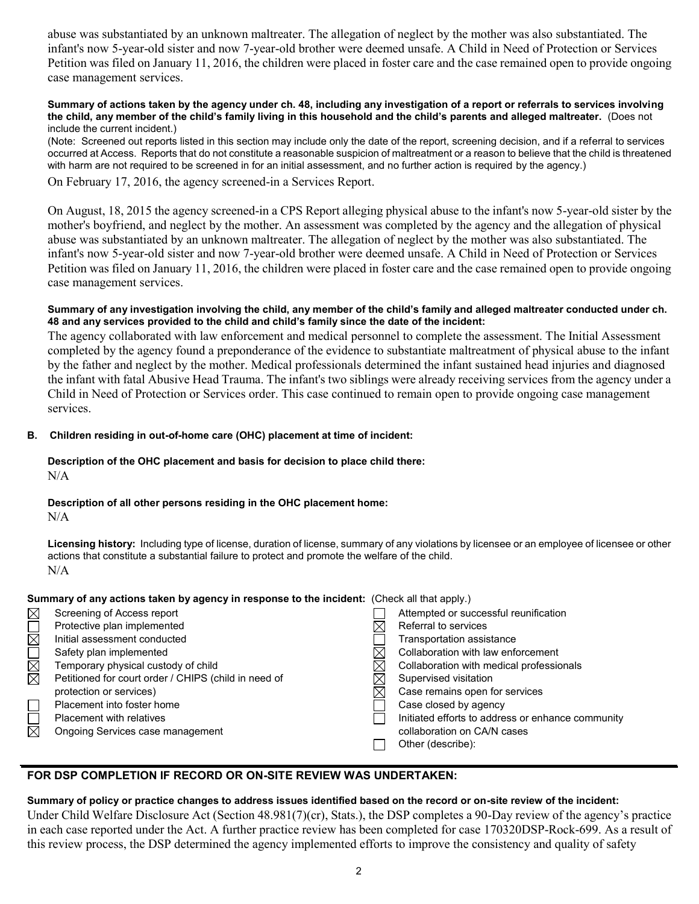abuse was substantiated by an unknown maltreater. The allegation of neglect by the mother was also substantiated. The infant's now 5-year-old sister and now 7-year-old brother were deemed unsafe. A Child in Need of Protection or Services Petition was filed on January 11, 2016, the children were placed in foster care and the case remained open to provide ongoing case management services.

#### **Summary of actions taken by the agency under ch. 48, including any investigation of a report or referrals to services involving the child, any member of the child's family living in this household and the child's parents and alleged maltreater.** (Does not include the current incident.)

(Note: Screened out reports listed in this section may include only the date of the report, screening decision, and if a referral to services occurred at Access. Reports that do not constitute a reasonable suspicion of maltreatment or a reason to believe that the child is threatened with harm are not required to be screened in for an initial assessment, and no further action is required by the agency.)

On February 17, 2016, the agency screened-in a Services Report.

On August, 18, 2015 the agency screened-in a CPS Report alleging physical abuse to the infant's now 5-year-old sister by the mother's boyfriend, and neglect by the mother. An assessment was completed by the agency and the allegation of physical abuse was substantiated by an unknown maltreater. The allegation of neglect by the mother was also substantiated. The infant's now 5-year-old sister and now 7-year-old brother were deemed unsafe. A Child in Need of Protection or Services Petition was filed on January 11, 2016, the children were placed in foster care and the case remained open to provide ongoing case management services.

#### **Summary of any investigation involving the child, any member of the child's family and alleged maltreater conducted under ch. 48 and any services provided to the child and child's family since the date of the incident:**

The agency collaborated with law enforcement and medical personnel to complete the assessment. The Initial Assessment completed by the agency found a preponderance of the evidence to substantiate maltreatment of physical abuse to the infant by the father and neglect by the mother. Medical professionals determined the infant sustained head injuries and diagnosed the infant with fatal Abusive Head Trauma. The infant's two siblings were already receiving services from the agency under a Child in Need of Protection or Services order. This case continued to remain open to provide ongoing case management services.

#### **B. Children residing in out-of-home care (OHC) placement at time of incident:**

**Description of the OHC placement and basis for decision to place child there:** N/A

## **Description of all other persons residing in the OHC placement home:**

N/A

**Licensing history:** Including type of license, duration of license, summary of any violations by licensee or an employee of licensee or other actions that constitute a substantial failure to protect and promote the welfare of the child. N/A

#### Summary of any actions taken by agency in response to the incide

| Screening of Access report                           | Attempted or successful re   |
|------------------------------------------------------|------------------------------|
| Protective plan implemented                          | Referral to services         |
| Initial assessment conducted                         | Transportation assistance    |
| Safety plan implemented                              | Collaboration with law enf   |
| Temporary physical custody of child                  | Collaboration with medica    |
| Petitioned for court order / CHIPS (child in need of | Supervised visitation        |
| protection or services)                              | Case remains open for se     |
| Placement into foster home                           | Case closed by agency        |
| <b>Placement with relatives</b>                      | Initiated efforts to address |
| Ongoing Services case management                     | collaboration on CA/N cas    |

| nary of any actions taken by agency in response to the incident: (Check all that apply.) |  |                                                   |  |
|------------------------------------------------------------------------------------------|--|---------------------------------------------------|--|
| Screening of Access report                                                               |  | Attempted or successful reunification             |  |
| Protective plan implemented                                                              |  | Referral to services                              |  |
| Initial assessment conducted                                                             |  | Transportation assistance                         |  |
| Safety plan implemented                                                                  |  | Collaboration with law enforcement                |  |
| Temporary physical custody of child                                                      |  | Collaboration with medical professionals          |  |
| Petitioned for court order / CHIPS (child in need of                                     |  | Supervised visitation                             |  |
| protection or services)                                                                  |  | Case remains open for services                    |  |
| Placement into foster home                                                               |  | Case closed by agency                             |  |
| Placement with relatives                                                                 |  | Initiated efforts to address or enhance community |  |
| Ongoing Services case management                                                         |  | collaboration on CA/N cases                       |  |
|                                                                                          |  | Other (describe):                                 |  |
|                                                                                          |  |                                                   |  |

## **FOR DSP COMPLETION IF RECORD OR ON-SITE REVIEW WAS UNDERTAKEN:**

## **Summary of policy or practice changes to address issues identified based on the record or on-site review of the incident:**

Under Child Welfare Disclosure Act (Section 48.981(7)(cr), Stats.), the DSP completes a 90-Day review of the agency's practice in each case reported under the Act. A further practice review has been completed for case 170320DSP-Rock-699. As a result of this review process, the DSP determined the agency implemented efforts to improve the consistency and quality of safety